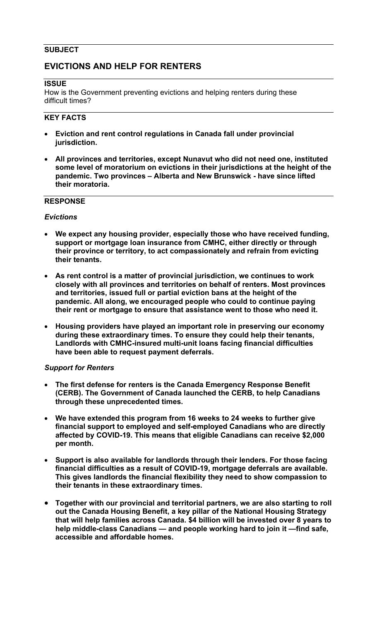### **SUBJECT**

# **EVICTIONS AND HELP FOR RENTERS**

#### **ISSUE**

How is the Government preventing evictions and helping renters during these difficult times?

### **KEY FACTS**

- **Eviction and rent control regulations in Canada fall under provincial jurisdiction.**
- **All provinces and territories, except Nunavut who did not need one, instituted some level of moratorium on evictions in their jurisdictions at the height of the pandemic. Two provinces – Alberta and New Brunswick - have since lifted their moratoria.**

### **RESPONSE**

#### *Evictions*

- **We expect any housing provider, especially those who have received funding, support or mortgage loan insurance from CMHC, either directly or through their province or territory, to act compassionately and refrain from evicting their tenants.**
- **As rent control is a matter of provincial jurisdiction, we continues to work closely with all provinces and territories on behalf of renters. Most provinces and territories, issued full or partial eviction bans at the height of the pandemic. All along, we encouraged people who could to continue paying their rent or mortgage to ensure that assistance went to those who need it.**
- **Housing providers have played an important role in preserving our economy during these extraordinary times. To ensure they could help their tenants, Landlords with CMHC-insured multi-unit loans facing financial difficulties have been able to request payment deferrals.**

#### *Support for Renters*

- **The first defense for renters is the Canada Emergency Response Benefit (CERB). The Government of Canada launched the CERB, to help Canadians through these unprecedented times.**
- **We have extended this program from 16 weeks to 24 weeks to further give financial support to employed and self-employed Canadians who are directly affected by COVID-19. This means that eligible Canadians can receive \$2,000 per month.**
- **Support is also available for landlords through their lenders. For those facing financial difficulties as a result of COVID-19, mortgage deferrals are available. This gives landlords the financial flexibility they need to show compassion to their tenants in these extraordinary times.**
- **Together with our provincial and territorial partners, we are also starting to roll out the Canada Housing Benefit, a key pillar of the National Housing Strategy that will help families across Canada. \$4 billion will be invested over 8 years to help middle-class Canadians — and people working hard to join it —find safe, accessible and affordable homes.**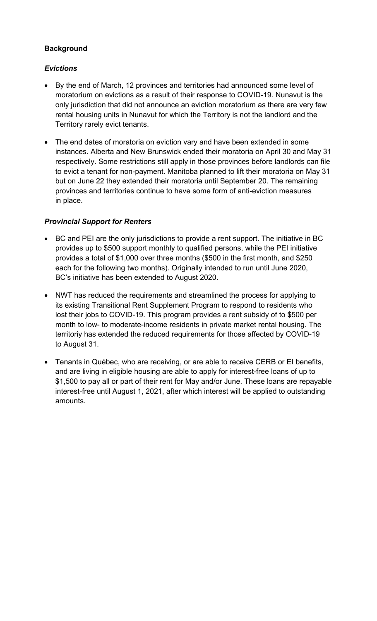### **Background**

## *Evictions*

- By the end of March, 12 provinces and territories had announced some level of moratorium on evictions as a result of their response to COVID-19. Nunavut is the only jurisdiction that did not announce an eviction moratorium as there are very few rental housing units in Nunavut for which the Territory is not the landlord and the Territory rarely evict tenants.
- The end dates of moratoria on eviction vary and have been extended in some instances. Alberta and New Brunswick ended their moratoria on April 30 and May 31 respectively. Some restrictions still apply in those provinces before landlords can file to evict a tenant for non-payment. Manitoba planned to lift their moratoria on May 31 but on June 22 they extended their moratoria until September 20. The remaining provinces and territories continue to have some form of anti-eviction measures in place.

## *Provincial Support for Renters*

- BC and PEI are the only jurisdictions to provide a rent support. The initiative in BC provides up to \$500 support monthly to qualified persons, while the PEI initiative provides a total of \$1,000 over three months (\$500 in the first month, and \$250 each for the following two months). Originally intended to run until June 2020, BC's initiative has been extended to August 2020.
- NWT has reduced the requirements and streamlined the process for applying to its existing Transitional Rent Supplement Program to respond to residents who lost their jobs to COVID-19. This program provides a rent subsidy of to \$500 per month to low- to moderate-income residents in private market rental housing. The territoriy has extended the reduced requirements for those affected by COVID-19 to August 31.
- Tenants in Québec, who are receiving, or are able to receive CERB or EI benefits, and are living in eligible housing are able to apply for interest-free loans of up to \$1,500 to pay all or part of their rent for May and/or June. These loans are repayable interest-free until August 1, 2021, after which interest will be applied to outstanding amounts.